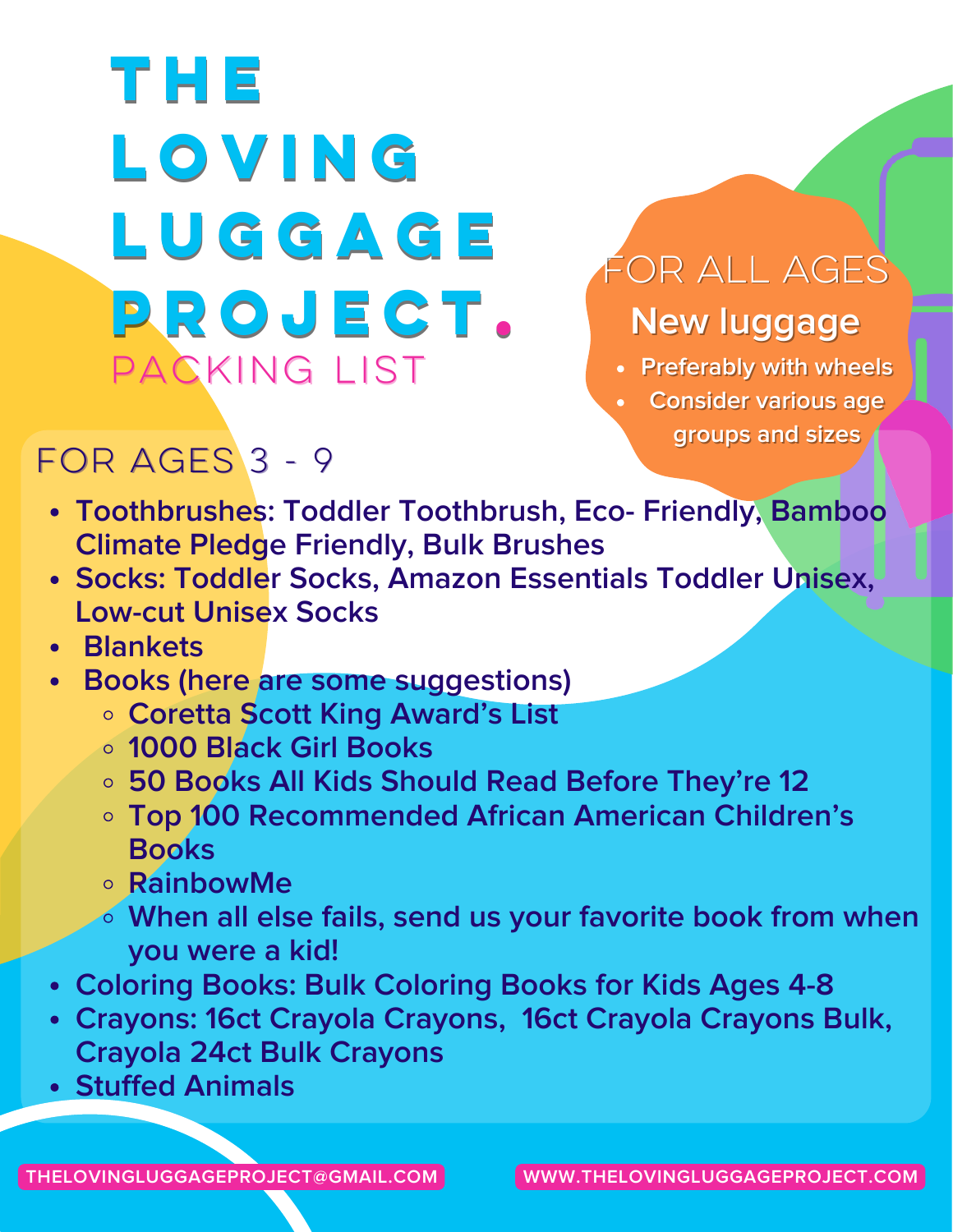# **The Loving Luggage Project.** PACKING LIST

## Forallages **New luggage**

**Preferably with wheels**

**Consider various age groups and sizes**

### FOR AGES 3 - 9

- **[Toothbrushes:](https://www.amazon.com/Toothbrushes-Eco-Friendly-Biodegradable-Compostable-toothbrushes/dp/B089B3Q78S/ref=sr_1_6?crid=1HKWJE48VLPPJ&keywords=toothbrush+soft+bristle+kids&qid=1648586760&s=beauty&sprefix=toothbrush+soft+bristle+kids%2Cbeauty%2C104&sr=1-6) Toddler [Toothbrush](https://www.amazon.com/Colgate-First-Infant-Toothbrush-Extra/dp/B07HCY9LKF/ref=sr_1_5?crid=21ANSYVQ9J1GA&keywords=toddler+toothbrush+2+pack&qid=1648586650&rdc=1&s=beauty&sprefix=toddler+toothbrush2+pack%2Cbeauty%2C92&sr=1-5), Eco- [Friendly](https://www.amazon.com/EcoFrenzy-Bamboo-Toothbrush-Child-Bristles/dp/B09B169F2F/ref=sr_1_1_sspa?crid=1HKWJE48VLPPJ&keywords=toothbrush+soft+bristle+kids&qid=1648586760&s=beauty&sprefix=toothbrush+soft+bristle+kids%2Cbeauty%2C104&sr=1-1-spons&psc=1&spLa=ZW5jcnlwdGVkUXVhbGlmaWVyPUEyVkpDVFhVMVEwSTBCJmVuY3J5cHRlZElkPUEwNjgxMzI3NFdVTENFQUI0U0dPJmVuY3J5cHRlZEFkSWQ9QTA1MTk1NzkzT1pNUUpCSDE1TElVJndpZGdldE5hbWU9c3BfYXRmJmFjdGlvbj1jbGlja1JlZGlyZWN0JmRvTm90TG9nQ2xpY2s9dHJ1ZQ==), Bamboo Climate Pledge Friendly, Bulk [Brushes](https://www.amazon.com/Colgate-Extra-Toothbrush-Assorted-Colors/dp/B07BKT1SV7/ref=sr_1_6?crid=2QEMH17Y641GP&keywords=bulk+toothbrushes+soft&qid=1648586908&s=beauty&sprefix=bulk+toothbrushes+soft%2Cbeauty%2C90&sr=1-6)**
- **Socks: [Toddler](https://www.amazon.com/Cherokee-Girls-Little-Shorty-critter/dp/B07K8LTNQW/ref=sr_1_omk_6?keywords=toddler+socks&qid=1648587024&sr=8-6) Socks, Amazon [Essentials](https://www.amazon.com/Amazon-Essentials-14-Pack-Cotton-Heather/dp/B07JL9J8BK/ref=sr_1_5?keywords=toddler+socks&qid=1648587024&sr=8-5) Toddler Unisex, [Low-cut](https://www.amazon.com/Jamegio-Athletic-Little-Cotton-Cushion/dp/B083TZFHTP/ref=sr_1_9?crid=2IYDU1OP71KPV&keywords=socks%2Bages%2B4-6%2B6%2Bpack&qid=1648587981&sprefix=socks%2Bages%2B4-6%2B6%2Bpack%2Caps%2C114&sr=8-9&th=1) Unisex Socks**
- **Blankets**
- **Books (here are some suggestions)**
	- **Coretta Scott King [Award's](https://www.powells.com/awards/coretta-scott-king-award) List**
	- **1000 Black Girl [Books](http://grassrootscommunityfoundation.org/1000-black-girl-books-resource-guide/)**
	- **50 Books All Kids Should Read Before [They're](https://www.commonsensemedia.org/lists/50-books-all-kids-should-read-before-theyre-12) 12**
	- **Top 100 [Recommended](https://aalbc.com/books/children.php) African American Children's Books**
	- **[RainbowMe](https://www.rainbowmekids.com/collections/bundle-and-save)**
	- **When all else fails, send us your favorite book from when you were a kid!**
- **Coloring Books: Bulk [Coloring](https://www.amazon.com/Bulk-Coloring-Books-Kids-Ages/dp/B081XBPQ1K/ref=sr_1_8?keywords=childrens%2Bcoloring%2Bbooks&qid=1648590849&sprefix=children%2Bcolorings%2Caps%2C131&sr=8-8&th=1) Books for Kids Ages 4-8**
- **Crayons: 16ct Crayola [Crayons](https://www.amazon.com/Crayola-Classic-Color-Pack-Crayons/dp/B07J22YLYV/ref=sr_1_8?crid=CBFNOBYOLOOT&keywords=crayons&qid=1648590518&sprefix=crayons%2Caps%2C171&sr=8-8), 16ct Crayola [Crayons](https://www.amazon.com/Crayola-Crayons-Box-Pack-Total/dp/B018OR9MRC/ref=sr_1_5?crid=5KBON1LI70DV&keywords=crayons%2B16%2Bcount%2Bbulk&qid=1648590775&sprefix=crayons%2B16%2Bcount%2Caps%2C110&sr=8-5&th=1) Bulk, Crayola 24ct Bulk [Crayons](https://www.amazon.com/Crayola-Crayons-Classpack-Assorted-Colors/dp/B00Y4QBJAQ/ref=sr_1_6?crid=CBFNOBYOLOOT&keywords=crayons&qid=1648590518&sprefix=crayons%2Caps%2C171&sr=8-6)**
- **Stuffed Animals**

**THELOVINGLUGGAGEPROJECT@GMAIL.COM WWW.THELOVINGLUGGAGEPROJECT.COM**